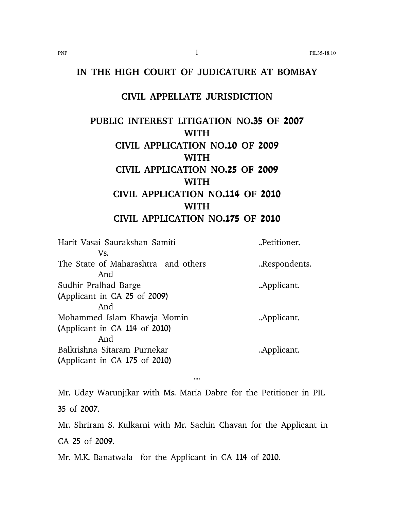## **IN THE HIGH COURT OF JUDICATURE AT BOMBAY**

## **CIVIL APPELLATE JURISDICTION**

# **PUBLIC INTEREST LITIGATION NO.35 OF 2007 WITH CIVIL APPLICATION NO.10 OF 2009 WITH CIVIL APPLICATION NO.25 OF 2009 WITH CIVIL APPLICATION NO.114 OF 2010 WITH CIVIL APPLICATION NO.175 OF 2010**

Harit Vasai Saurakshan Samiti ..Petitioner. Vs. The State of Maharashtra and others ..Respondents. And Sudhir Pralhad Barge ..Applicant. (Applicant in CA 25 of 2009) And Mohammed Islam Khawja Momin ... Applicant. (Applicant in CA 114 of 2010) And Balkrishna Sitaram Purnekar ..Applicant. (Applicant in CA 175 of 2010)

Mr. Uday Warunjikar with Ms. Maria Dabre for the Petitioner in PIL 35 of 2007.

....

Mr. Shriram S. Kulkarni with Mr. Sachin Chavan for the Applicant in CA 25 of 2009.

Mr. M.K. Banatwala for the Applicant in CA 114 of 2010.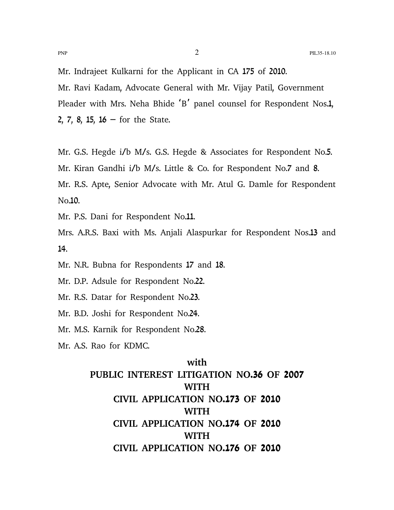Mr. Indrajeet Kulkarni for the Applicant in CA 175 of 2010. Mr. Ravi Kadam, Advocate General with Mr. Vijay Patil, Government Pleader with Mrs. Neha Bhide 'B' panel counsel for Respondent Nos.1, 2, 7, 8, 15,  $16$  – for the State.

Mr. G.S. Hegde i/b M/s. G.S. Hegde & Associates for Respondent No.5. Mr. Kiran Gandhi i/b M/s. Little & Co. for Respondent No.7 and 8. Mr. R.S. Apte, Senior Advocate with Mr. Atul G. Damle for Respondent No.10.

Mr. P.S. Dani for Respondent No.11.

Mrs. A.R.S. Baxi with Ms. Anjali Alaspurkar for Respondent Nos.13 and 14.

Mr. N.R. Bubna for Respondents 17 and 18.

Mr. D.P. Adsule for Respondent No.22.

Mr. R.S. Datar for Respondent No.23.

Mr. B.D. Joshi for Respondent No.24.

Mr. M.S. Karnik for Respondent No.28.

Mr. A.S. Rao for KDMC.

## **with PUBLIC INTEREST LITIGATION NO.36 OF 2007 WITH CIVIL APPLICATION NO.173 OF 2010 WITH CIVIL APPLICATION NO.174 OF 2010 WITH CIVIL APPLICATION NO.176 OF 2010**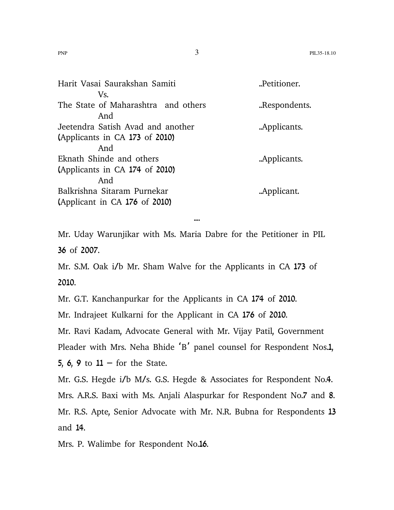| Harit Vasai Saurakshan Samiti       | "Petitioner.  |
|-------------------------------------|---------------|
| Vs.                                 |               |
| The State of Maharashtra and others | "Respondents. |
| And                                 |               |
| Jeetendra Satish Avad and another   | Applicants.   |
| (Applicants in CA 173 of 2010)      |               |
| And                                 |               |
| Eknath Shinde and others            | Applicants.   |
| (Applicants in CA 174 of 2010)      |               |
| And                                 |               |
| Balkrishna Sitaram Purnekar         | .Applicant.   |
| (Applicant in CA 176 of 2010)       |               |
|                                     |               |

....

Mr. Uday Warunjikar with Ms. Maria Dabre for the Petitioner in PIL 36 of 2007.

Mr. S.M. Oak i/b Mr. Sham Walve for the Applicants in CA 173 of 2010.

Mr. G.T. Kanchanpurkar for the Applicants in CA 174 of 2010.

Mr. Indrajeet Kulkarni for the Applicant in CA 176 of 2010.

Mr. Ravi Kadam, Advocate General with Mr. Vijay Patil, Government

Pleader with Mrs. Neha Bhide 'B' panel counsel for Respondent Nos.1,

5, 6, 9 to  $11 -$  for the State.

Mr. G.S. Hegde i/b M/s. G.S. Hegde & Associates for Respondent No.4.

Mrs. A.R.S. Baxi with Ms. Anjali Alaspurkar for Respondent No.7 and 8. Mr. R.S. Apte, Senior Advocate with Mr. N.R. Bubna for Respondents 13 and 14.

Mrs. P. Walimbe for Respondent No.16.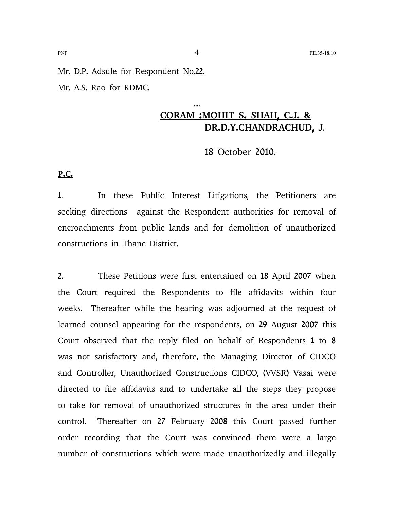Mr. D.P. Adsule for Respondent No.22. Mr. A.S. Rao for KDMC.

## .... **CORAM :MOHIT S. SHAH, C.J. & DR.D.Y.CHANDRACHUD, J**.

18 October 2010.

**P.C.**

1. In these Public Interest Litigations, the Petitioners are seeking directions against the Respondent authorities for removal of encroachments from public lands and for demolition of unauthorized constructions in Thane District.

2. These Petitions were first entertained on 18 April 2007 when the Court required the Respondents to file affidavits within four weeks. Thereafter while the hearing was adjourned at the request of learned counsel appearing for the respondents, on 29 August 2007 this Court observed that the reply filed on behalf of Respondents 1 to 8 was not satisfactory and, therefore, the Managing Director of CIDCO and Controller, Unauthorized Constructions CIDCO, (VVSR) Vasai were directed to file affidavits and to undertake all the steps they propose to take for removal of unauthorized structures in the area under their control. Thereafter on 27 February 2008 this Court passed further order recording that the Court was convinced there were a large number of constructions which were made unauthorizedly and illegally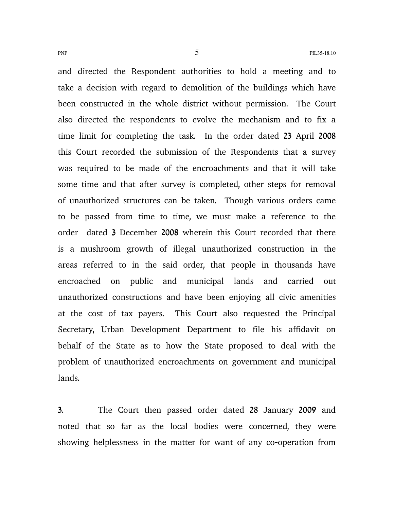and directed the Respondent authorities to hold a meeting and to take a decision with regard to demolition of the buildings which have been constructed in the whole district without permission. The Court also directed the respondents to evolve the mechanism and to fix a time limit for completing the task. In the order dated 23 April 2008 this Court recorded the submission of the Respondents that a survey was required to be made of the encroachments and that it will take some time and that after survey is completed, other steps for removal of unauthorized structures can be taken. Though various orders came to be passed from time to time, we must make a reference to the order dated 3 December 2008 wherein this Court recorded that there is a mushroom growth of illegal unauthorized construction in the areas referred to in the said order, that people in thousands have encroached on public and municipal lands and carried out unauthorized constructions and have been enjoying all civic amenities at the cost of tax payers. This Court also requested the Principal Secretary, Urban Development Department to file his affidavit on behalf of the State as to how the State proposed to deal with the problem of unauthorized encroachments on government and municipal lands.

3. The Court then passed order dated 28 January 2009 and noted that so far as the local bodies were concerned, they were showing helplessness in the matter for want of any co-operation from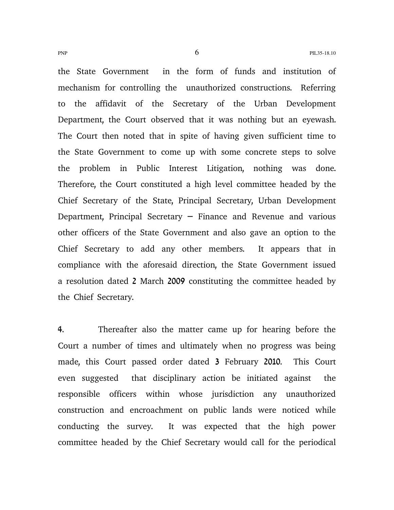the State Government in the form of funds and institution of mechanism for controlling the unauthorized constructions. Referring to the affidavit of the Secretary of the Urban Development Department, the Court observed that it was nothing but an eyewash. The Court then noted that in spite of having given sufficient time to the State Government to come up with some concrete steps to solve the problem in Public Interest Litigation, nothing was done. Therefore, the Court constituted a high level committee headed by the Chief Secretary of the State, Principal Secretary, Urban Development Department, Principal Secretary  $-$  Finance and Revenue and various other officers of the State Government and also gave an option to the Chief Secretary to add any other members. It appears that in compliance with the aforesaid direction, the State Government issued a resolution dated 2 March 2009 constituting the committee headed by the Chief Secretary.

4. Thereafter also the matter came up for hearing before the Court a number of times and ultimately when no progress was being made, this Court passed order dated 3 February 2010. This Court even suggested that disciplinary action be initiated against the responsible officers within whose jurisdiction any unauthorized construction and encroachment on public lands were noticed while conducting the survey. It was expected that the high power committee headed by the Chief Secretary would call for the periodical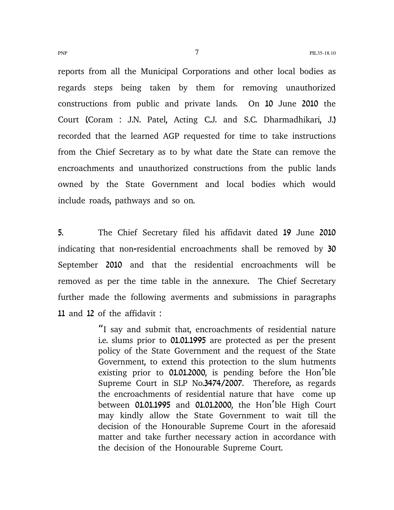reports from all the Municipal Corporations and other local bodies as regards steps being taken by them for removing unauthorized constructions from public and private lands. On 10 June 2010 the Court (Coram : J.N. Patel, Acting C.J. and S.C. Dharmadhikari, J.) recorded that the learned AGP requested for time to take instructions from the Chief Secretary as to by what date the State can remove the encroachments and unauthorized constructions from the public lands owned by the State Government and local bodies which would include roads, pathways and so on.

5. The Chief Secretary filed his affidavit dated 19 June 2010 indicating that non-residential encroachments shall be removed by 30 September 2010 and that the residential encroachments will be removed as per the time table in the annexure. The Chief Secretary further made the following averments and submissions in paragraphs 11 and 12 of the affidavit :

> "I say and submit that, encroachments of residential nature i.e. slums prior to 01.01.1995 are protected as per the present policy of the State Government and the request of the State Government, to extend this protection to the slum hutments existing prior to  $01.01.2000$ , is pending before the Hon'ble Supreme Court in SLP No.3474/2007. Therefore, as regards the encroachments of residential nature that have come up between  $01.01.1995$  and  $01.01.2000$ , the Hon'ble High Court may kindly allow the State Government to wait till the decision of the Honourable Supreme Court in the aforesaid matter and take further necessary action in accordance with the decision of the Honourable Supreme Court.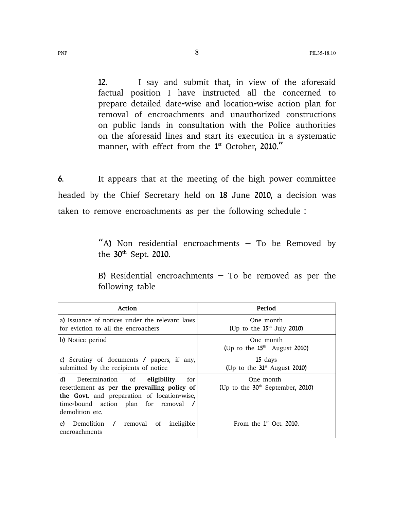12. I say and submit that, in view of the aforesaid factual position I have instructed all the concerned to prepare detailed date-wise and location-wise action plan for removal of encroachments and unauthorized constructions on public lands in consultation with the Police authorities on the aforesaid lines and start its execution in a systematic manner, with effect from the  $1<sup>st</sup>$  October, 2010."

6. It appears that at the meeting of the high power committee headed by the Chief Secretary held on 18 June 2010, a decision was taken to remove encroachments as per the following schedule :

> "A) Non residential encroachments  $-$  To be Removed by the 30<sup>th</sup> Sept. 2010.

> B) Residential encroachments  $-$  To be removed as per the following table

| Action                                                                                                                                                                                                 | Period                                          |
|--------------------------------------------------------------------------------------------------------------------------------------------------------------------------------------------------------|-------------------------------------------------|
| a) Issuance of notices under the relevant laws<br>for eviction to all the encroachers                                                                                                                  | One month<br>(Up to the $15th$ July 2010)       |
| b) Notice period                                                                                                                                                                                       | One month<br>(Up to the $15th$ August 2010)     |
| c) Scrutiny of documents / papers, if any,<br>submitted by the recipients of notice                                                                                                                    | 15 days<br>(Up to the $31st$ August 2010)       |
| d)<br>Determination of<br>eligibility<br>for<br>resettlement as per the prevailing policy of<br>the Govt. and preparation of location-wise,<br>time-bound action plan for removal /<br>demolition etc. | One month<br>(Up to the $30th$ September, 2010) |
| Demolition /<br>ineligible<br>removal<br>of<br>e)<br>encroachments                                                                                                                                     | From the $1st$ Oct. 2010.                       |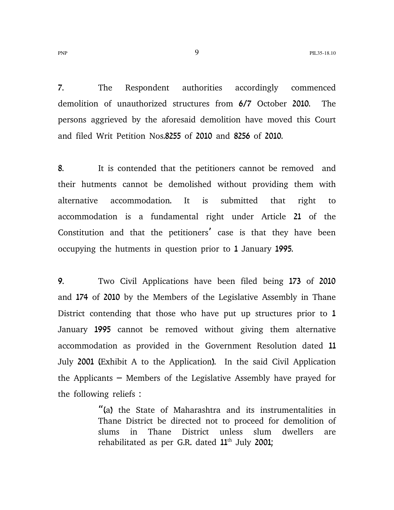7. The Respondent authorities accordingly commenced demolition of unauthorized structures from 6/7 October 2010. The persons aggrieved by the aforesaid demolition have moved this Court and filed Writ Petition Nos.8255 of 2010 and 8256 of 2010.

8. It is contended that the petitioners cannot be removed and their hutments cannot be demolished without providing them with alternative accommodation. It is submitted that right to accommodation is a fundamental right under Article 21 of the Constitution and that the petitioners' case is that they have been occupying the hutments in question prior to 1 January 1995.

9. Two Civil Applications have been filed being 173 of 2010 and 174 of 2010 by the Members of the Legislative Assembly in Thane District contending that those who have put up structures prior to 1 January 1995 cannot be removed without giving them alternative accommodation as provided in the Government Resolution dated 11 July 2001 (Exhibit A to the Application). In the said Civil Application the Applicants  $-$  Members of the Legislative Assembly have prayed for the following reliefs :

> "(a) the State of Maharashtra and its instrumentalities in Thane District be directed not to proceed for demolition of slums in Thane District unless slum dwellers are rehabilitated as per G.R. dated  $11<sup>th</sup>$  July 2001;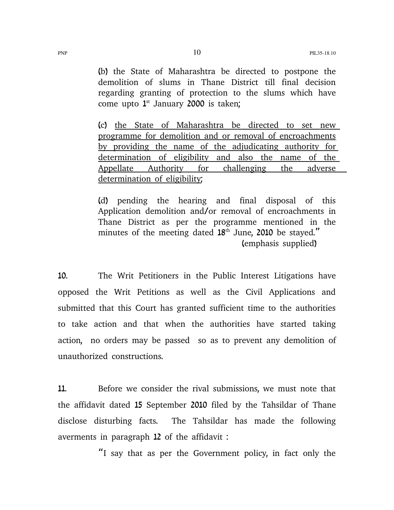(b) the State of Maharashtra be directed to postpone the demolition of slums in Thane District till final decision regarding granting of protection to the slums which have come upto  $1^{st}$  January 2000 is taken;

(c) the State of Maharashtra be directed to set new programme for demolition and or removal of encroachments by providing the name of the adjudicating authority for determination of eligibility and also the name of the Appellate Authority for challenging the adverse determination of eligibility;

(d) pending the hearing and final disposal of this Application demolition and/or removal of encroachments in Thane District as per the programme mentioned in the minutes of the meeting dated  $18<sup>th</sup>$  June, 2010 be stayed." (emphasis supplied)

10. The Writ Petitioners in the Public Interest Litigations have opposed the Writ Petitions as well as the Civil Applications and submitted that this Court has granted sufficient time to the authorities to take action and that when the authorities have started taking action, no orders may be passed so as to prevent any demolition of unauthorized constructions.

11. Before we consider the rival submissions, we must note that the affidavit dated 15 September 2010 filed by the Tahsildar of Thane disclose disturbing facts. The Tahsildar has made the following averments in paragraph 12 of the affidavit :

"I say that as per the Government policy, in fact only the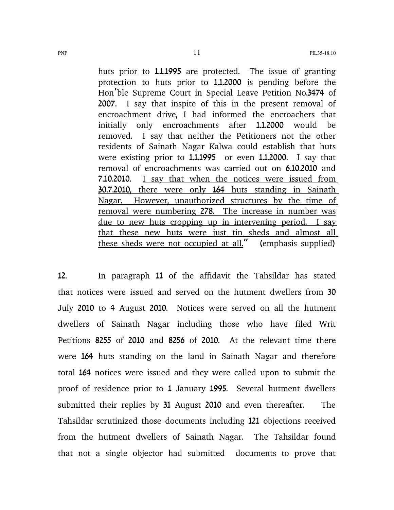huts prior to 1.1.1995 are protected. The issue of granting protection to huts prior to 1.1.2000 is pending before the Hon'ble Supreme Court in Special Leave Petition No.3474 of 2007. I say that inspite of this in the present removal of encroachment drive, I had informed the encroachers that initially only encroachments after **1.1.2000** would be removed. I say that neither the Petitioners not the other residents of Sainath Nagar Kalwa could establish that huts were existing prior to 1.1.1995 or even 1.1.2000. I say that removal of encroachments was carried out on 6.10.2010 and 7.10.2010. I say that when the notices were issued from 30.7.2010, there were only 164 huts standing in Sainath Nagar. However, unauthorized structures by the time of removal were numbering 278. The increase in number was due to new huts cropping up in intervening period. I say that these new huts were just tin sheds and almost all these sheds were not occupied at all." (emphasis supplied)

12. In paragraph 11 of the affidavit the Tahsildar has stated that notices were issued and served on the hutment dwellers from 30 July 2010 to 4 August 2010. Notices were served on all the hutment dwellers of Sainath Nagar including those who have filed Writ Petitions 8255 of 2010 and 8256 of 2010. At the relevant time there were 164 huts standing on the land in Sainath Nagar and therefore total 164 notices were issued and they were called upon to submit the proof of residence prior to 1 January 1995. Several hutment dwellers submitted their replies by 31 August 2010 and even thereafter. The Tahsildar scrutinized those documents including 121 objections received from the hutment dwellers of Sainath Nagar. The Tahsildar found that not a single objector had submitted documents to prove that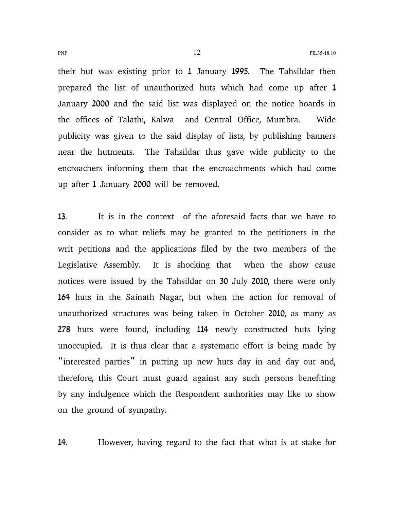their hut was existing prior to 1 January 1995. The Tahsildar then prepared the list of unauthorized huts which had come up after 1 January 2000 and the said list was displayed on the notice boards in the offices of Talathi, Kalwa and Central Office, Mumbra. Wide publicity was given to the said display of lists, by publishing banners near the hutments. The Tahsildar thus gave wide publicity to the encroachers informing them that the encroachments which had come up after 1 January 2000 will be removed.

13. It is in the context of the aforesaid facts that we have to consider as to what reliefs may be granted to the petitioners in the writ petitions and the applications filed by the two members of the Legislative Assembly. It is shocking that when the show cause notices were issued by the Tahsildar on 30 July 2010, there were only 164 huts in the Sainath Nagar, but when the action for removal of unauthorized structures was being taken in October 2010, as many as 278 huts were found, including 114 newly constructed huts lying unoccupied. It is thus clear that a systematic effort is being made by " interested parties" in putting up new huts day in and day out and, therefore, this Court must guard against any such persons benefiting by any indulgence which the Respondent authorities may like to show on the ground of sympathy.

14. However, having regard to the fact that what is at stake for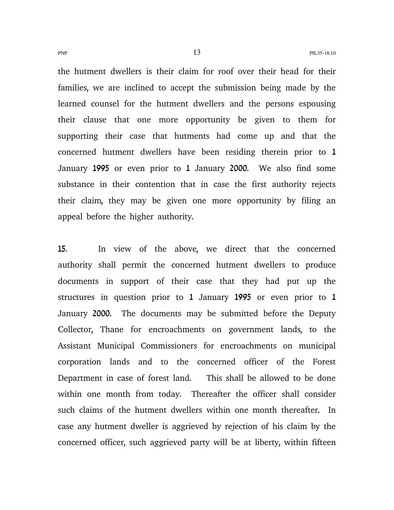the hutment dwellers is their claim for roof over their head for their families, we are inclined to accept the submission being made by the learned counsel for the hutment dwellers and the persons espousing their clause that one more opportunity be given to them for supporting their case that hutments had come up and that the concerned hutment dwellers have been residing therein prior to 1 January 1995 or even prior to 1 January 2000. We also find some substance in their contention that in case the first authority rejects their claim, they may be given one more opportunity by filing an appeal before the higher authority.

15. In view of the above, we direct that the concerned authority shall permit the concerned hutment dwellers to produce documents in support of their case that they had put up the structures in question prior to 1 January 1995 or even prior to 1 January 2000. The documents may be submitted before the Deputy Collector, Thane for encroachments on government lands, to the Assistant Municipal Commissioners for encroachments on municipal corporation lands and to the concerned officer of the Forest Department in case of forest land. This shall be allowed to be done within one month from today. Thereafter the officer shall consider such claims of the hutment dwellers within one month thereafter. In case any hutment dweller is aggrieved by rejection of his claim by the concerned officer, such aggrieved party will be at liberty, within fifteen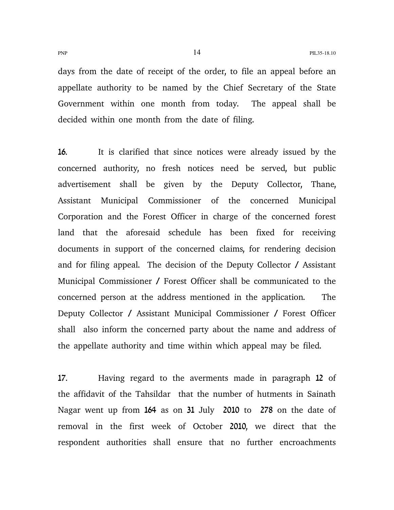days from the date of receipt of the order, to file an appeal before an appellate authority to be named by the Chief Secretary of the State Government within one month from today. The appeal shall be decided within one month from the date of filing.

16. It is clarified that since notices were already issued by the concerned authority, no fresh notices need be served, but public advertisement shall be given by the Deputy Collector, Thane, Assistant Municipal Commissioner of the concerned Municipal Corporation and the Forest Officer in charge of the concerned forest land that the aforesaid schedule has been fixed for receiving documents in support of the concerned claims, for rendering decision and for filing appeal. The decision of the Deputy Collector / Assistant Municipal Commissioner / Forest Officer shall be communicated to the concerned person at the address mentioned in the application. The Deputy Collector / Assistant Municipal Commissioner / Forest Officer shall also inform the concerned party about the name and address of the appellate authority and time within which appeal may be filed.

17. Having regard to the averments made in paragraph 12 of the affidavit of the Tahsildar that the number of hutments in Sainath Nagar went up from 164 as on 31 July 2010 to 278 on the date of removal in the first week of October 2010, we direct that the respondent authorities shall ensure that no further encroachments